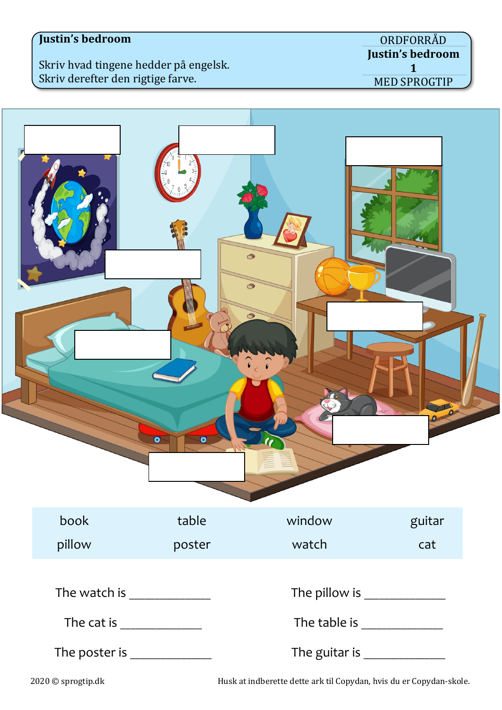Skriv hvad tingene hedder på engelsk. Skriv derefter den rigtige farve.



2020 © sprogtip.dk Husk at indberette dette ark til Copydan, hvis du er Copydan-skole.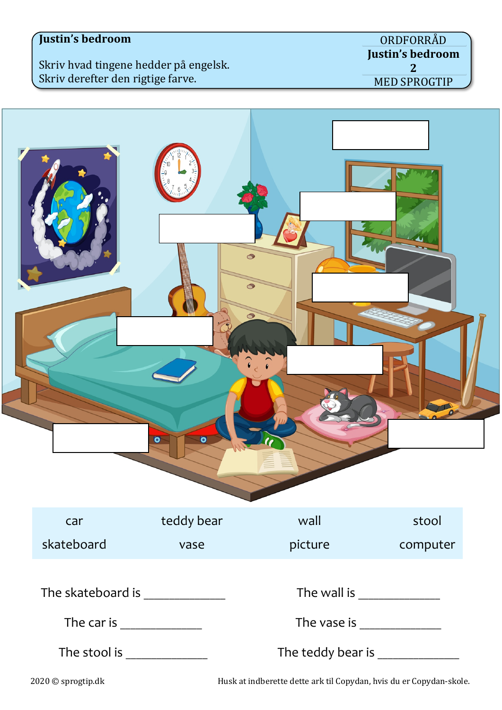Skriv hvad tingene hedder på engelsk. Skriv derefter den rigtige farve.

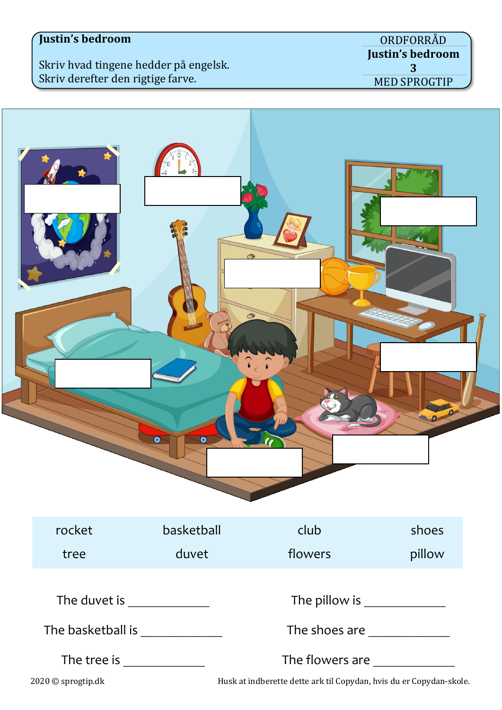Skriv hvad tingene hedder på engelsk. Skriv derefter den rigtige farve.